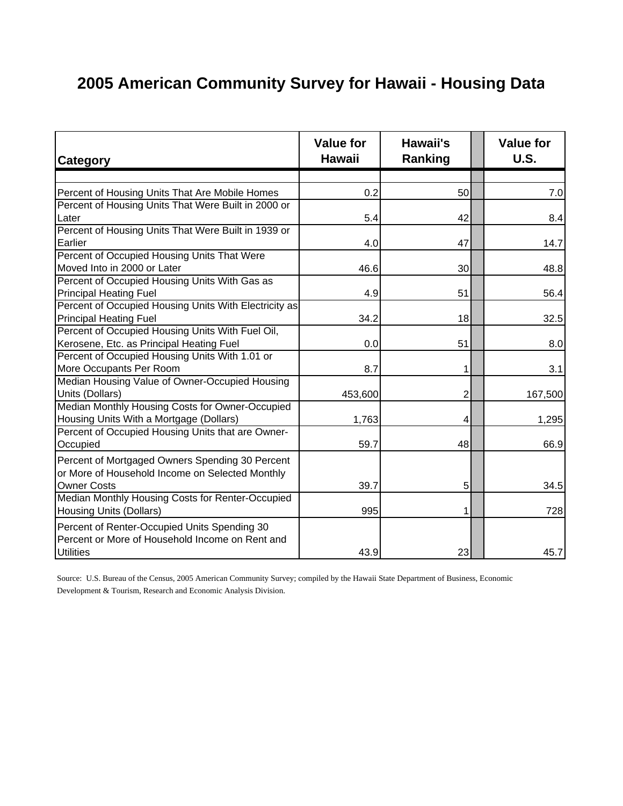## **2005 American Community Survey for Hawaii - Housing Data**

| <b>Category</b>                                       | <b>Value for</b><br><b>Hawaii</b> | Hawaii's<br>Ranking     | <b>Value for</b><br><b>U.S.</b> |
|-------------------------------------------------------|-----------------------------------|-------------------------|---------------------------------|
|                                                       |                                   |                         |                                 |
| Percent of Housing Units That Are Mobile Homes        | 0.2                               | 50                      | 7.0                             |
| Percent of Housing Units That Were Built in 2000 or   |                                   |                         |                                 |
| Later                                                 | 5.4                               | 42                      | 8.4                             |
| Percent of Housing Units That Were Built in 1939 or   |                                   |                         |                                 |
| Earlier                                               | 4.0                               | 47                      | 14.7                            |
| Percent of Occupied Housing Units That Were           |                                   |                         |                                 |
| Moved Into in 2000 or Later                           | 46.6                              | 30                      | 48.8                            |
| Percent of Occupied Housing Units With Gas as         |                                   |                         |                                 |
| <b>Principal Heating Fuel</b>                         | 4.9                               | 51                      | 56.4                            |
| Percent of Occupied Housing Units With Electricity as |                                   |                         |                                 |
| <b>Principal Heating Fuel</b>                         | 34.2                              | 18                      | 32.5                            |
| Percent of Occupied Housing Units With Fuel Oil,      |                                   |                         |                                 |
| Kerosene, Etc. as Principal Heating Fuel              | 0.0                               | 51                      | 8.0                             |
| Percent of Occupied Housing Units With 1.01 or        |                                   |                         |                                 |
| More Occupants Per Room                               | 8.7                               | 1                       | 3.1                             |
| Median Housing Value of Owner-Occupied Housing        |                                   |                         |                                 |
| Units (Dollars)                                       | 453,600                           | $\overline{2}$          | 167,500                         |
| Median Monthly Housing Costs for Owner-Occupied       |                                   |                         |                                 |
| Housing Units With a Mortgage (Dollars)               | 1,763                             | $\overline{\mathbf{4}}$ | 1,295                           |
| Percent of Occupied Housing Units that are Owner-     |                                   |                         |                                 |
| Occupied                                              | 59.7                              | 48                      | 66.9                            |
| Percent of Mortgaged Owners Spending 30 Percent       |                                   |                         |                                 |
| or More of Household Income on Selected Monthly       |                                   |                         |                                 |
| <b>Owner Costs</b>                                    | 39.7                              | 5 <sup>1</sup>          | 34.5                            |
| Median Monthly Housing Costs for Renter-Occupied      |                                   |                         |                                 |
| <b>Housing Units (Dollars)</b>                        | 995                               | $\mathbf{1}$            | 728                             |
| Percent of Renter-Occupied Units Spending 30          |                                   |                         |                                 |
| Percent or More of Household Income on Rent and       |                                   |                         |                                 |
| <b>Utilities</b>                                      | 43.9                              | 23                      | 45.7                            |

Source: U.S. Bureau of the Census, 2005 American Community Survey; compiled by the Hawaii State Department of Business, Economic Development & Tourism, Research and Economic Analysis Division.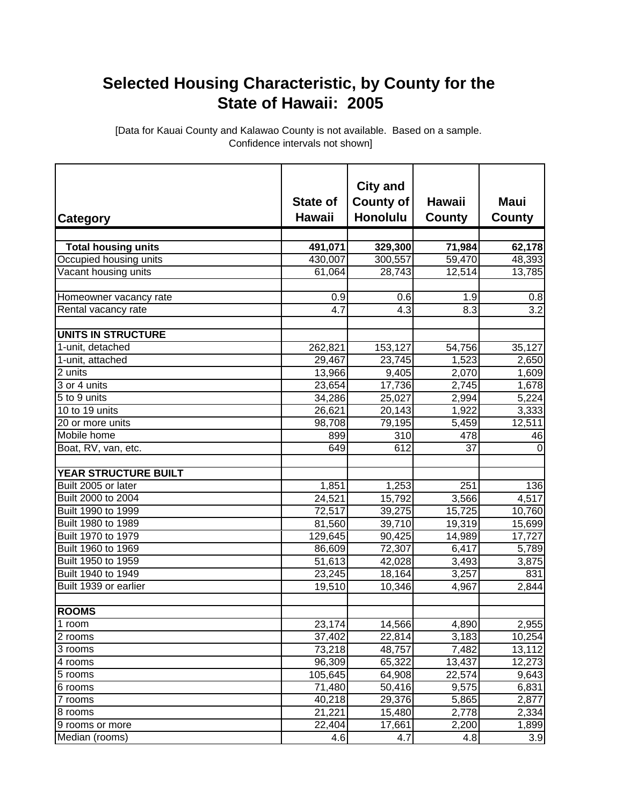## **Selected Housing Characteristic, by County for the State of Hawaii: 2005**

[Data for Kauai County and Kalawao County is not available. Based on a sample. Confidence intervals not shown]

| <b>Category</b>                                      | <b>State of</b><br><b>Hawaii</b> | <b>City and</b><br><b>County of</b><br><b>Honolulu</b> | Hawaii<br><b>County</b> | <b>Maui</b><br><b>County</b> |
|------------------------------------------------------|----------------------------------|--------------------------------------------------------|-------------------------|------------------------------|
|                                                      |                                  |                                                        |                         |                              |
| <b>Total housing units</b><br>Occupied housing units | 491,071<br>430,007               | 329,300<br>300,557                                     | 71,984<br>59,470        | 62,178<br>48,393             |
| Vacant housing units                                 | 61,064                           | 28,743                                                 | 12,514                  | 13,785                       |
|                                                      |                                  |                                                        |                         |                              |
| Homeowner vacancy rate                               | 0.9                              | 0.6                                                    | 1.9                     | 0.8                          |
| Rental vacancy rate                                  | 4.7                              | 4.3                                                    | $\overline{8.3}$        | 3.2                          |
| UNITS IN STRUCTURE                                   |                                  |                                                        |                         |                              |
| 1-unit, detached                                     | 262,821                          | 153,127                                                | 54,756                  | 35,127                       |
| 1-unit, attached                                     | 29,467                           | 23,745                                                 | 1,523                   | 2,650                        |
| 2 units                                              | 13,966                           | 9,405                                                  | 2,070                   | 1,609                        |
| 3 or 4 units                                         | 23,654                           | 17,736                                                 | 2,745                   | 1,678                        |
| 5 to 9 units                                         | 34,286                           | 25,027                                                 | 2,994                   | 5,224                        |
| 10 to 19 units                                       | 26,621                           | 20,143                                                 | 1,922                   | 3,333                        |
| 20 or more units                                     | 98,708                           | 79,195                                                 | 5,459                   | 12,511                       |
| Mobile home                                          | 899                              | $\overline{3}10$                                       | 478                     | 46                           |
| Boat, RV, van, etc.                                  | 649                              | 612                                                    | 37                      | $\Omega$                     |
| <b>YEAR STRUCTURE BUILT</b>                          |                                  |                                                        |                         |                              |
| Built 2005 or later                                  | 1,851                            | 1,253                                                  | 251                     | 136                          |
| Built 2000 to 2004                                   | 24,521                           | 15,792                                                 | 3,566                   | 4,517                        |
| Built 1990 to 1999                                   | 72,517                           | 39,275                                                 | 15,725                  | 10,760                       |
| Built 1980 to 1989                                   | 81,560                           | 39,710                                                 | 19,319                  | 15,699                       |
| Built 1970 to 1979                                   | 129,645                          | 90,425                                                 | 14,989                  | 17,727                       |
| Built 1960 to 1969                                   | 86,609                           | 72,307                                                 | 6,417                   | 5,789                        |
| Built 1950 to 1959                                   | 51,613                           | 42,028                                                 | 3,493                   | 3,875                        |
| Built 1940 to 1949                                   | 23,245                           | 18,164                                                 | 3,257                   | 831                          |
| Built 1939 or earlier                                | 19,510                           | 10,346                                                 | 4,967                   | 2,844                        |
|                                                      |                                  |                                                        |                         |                              |
| <b>ROOMS</b>                                         |                                  |                                                        |                         |                              |
| 1 room                                               | 23,174                           | 14,566                                                 | 4,890                   | 2,955                        |
| 2 rooms                                              | 37,402                           | 22,814                                                 | 3,183                   | 10,254                       |
| 3 rooms                                              | 73,218                           | 48,757                                                 | 7,482                   | 13,112                       |
| 4 rooms                                              | 96,309                           | 65,322                                                 | 13,437                  | 12,273                       |
| 5 rooms                                              | 105,645                          | 64,908                                                 | 22,574                  | 9,643                        |
| 6 rooms                                              | 71,480                           | 50,416                                                 | 9,575                   | 6,831                        |
| 7 rooms                                              | 40,218                           | 29,376                                                 | 5,865                   | 2,877                        |
| 8 rooms                                              | 21,221                           | 15,480                                                 | 2,778                   | 2,334                        |
| 9 rooms or more                                      | 22,404                           | 17,661                                                 | 2,200                   | 1,899                        |
| Median (rooms)                                       | $\overline{4}$ .6                | 4.7                                                    | 4.8                     | 3.9                          |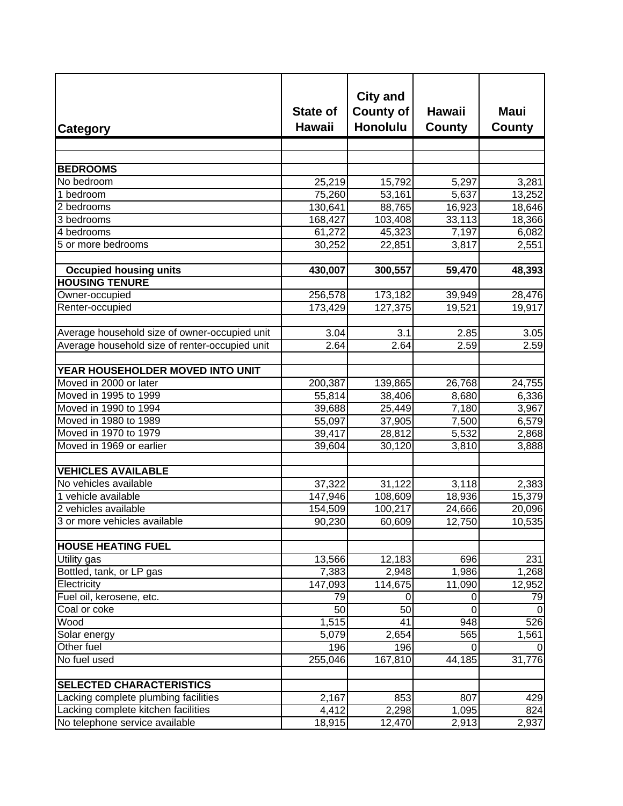| <b>Category</b>                                | <b>State of</b><br><b>Hawaii</b> | <b>City and</b><br><b>County of</b><br><b>Honolulu</b> | <b>Hawaii</b><br><b>County</b> | <b>Maui</b><br><b>County</b> |
|------------------------------------------------|----------------------------------|--------------------------------------------------------|--------------------------------|------------------------------|
|                                                |                                  |                                                        |                                |                              |
|                                                |                                  |                                                        |                                |                              |
| <b>BEDROOMS</b>                                |                                  |                                                        |                                |                              |
| No bedroom<br>1 bedroom                        | 25,219                           | 15,792                                                 | 5,297                          | 3,281                        |
| 2 bedrooms                                     | 75,260<br>130,641                | 53,161<br>88,765                                       | 5,637<br>16,923                | 13,252                       |
| 3 bedrooms                                     | 168,427                          | 103,408                                                | 33,113                         | 18,646<br>18,366             |
| 4 bedrooms                                     | 61,272                           | 45,323                                                 | 7,197                          | 6,082                        |
| 5 or more bedrooms                             | 30,252                           | 22,851                                                 | 3,817                          | 2,551                        |
|                                                |                                  |                                                        |                                |                              |
| <b>Occupied housing units</b>                  | 430,007                          | 300,557                                                | 59,470                         | 48,393                       |
| <b>HOUSING TENURE</b>                          |                                  |                                                        |                                |                              |
| Owner-occupied                                 | 256,578                          | 173,182                                                | 39,949                         | 28,476                       |
| Renter-occupied                                | 173,429                          | 127,375                                                | 19,521                         | 19,917                       |
|                                                |                                  |                                                        |                                |                              |
| Average household size of owner-occupied unit  | 3.04                             | 3.1                                                    | 2.85                           | 3.05                         |
| Average household size of renter-occupied unit | 2.64                             | 2.64                                                   | 2.59                           | 2.59                         |
|                                                |                                  |                                                        |                                |                              |
| YEAR HOUSEHOLDER MOVED INTO UNIT               |                                  |                                                        |                                |                              |
| Moved in 2000 or later                         | 200,387                          | 139,865                                                | 26,768                         | 24,755                       |
| Moved in 1995 to 1999                          | 55,814                           | 38,406                                                 | 8,680                          | 6,336                        |
| Moved in 1990 to 1994                          | 39,688                           | 25,449                                                 | 7,180                          | 3,967                        |
| Moved in 1980 to 1989                          | 55,097                           | 37,905                                                 | 7,500                          | 6,579                        |
| Moved in 1970 to 1979                          | 39,417                           | 28,812                                                 | 5,532                          | 2,868                        |
| Moved in 1969 or earlier                       | 39,604                           | 30,120                                                 | 3,810                          | 3,888                        |
|                                                |                                  |                                                        |                                |                              |
| <b>VEHICLES AVAILABLE</b>                      |                                  |                                                        |                                |                              |
| No vehicles available                          | 37,322                           | 31,122                                                 | 3,118                          | 2,383                        |
| 1 vehicle available                            | 147,946                          | 108,609                                                | 18,936                         | 15,379                       |
| 2 vehicles available                           | 154,509                          | 100,217                                                | 24,666                         | 20,096                       |
| 3 or more vehicles available                   | 90,230                           | 60,609                                                 | 12,750                         | 10,535                       |
| <b>HOUSE HEATING FUEL</b>                      |                                  |                                                        |                                |                              |
| Utility gas                                    | 13,566                           | 12,183                                                 | 696                            | 231                          |
| Bottled, tank, or LP gas                       | 7,383                            | 2,948                                                  | 1,986                          | 1,268                        |
| Electricity                                    | 147,093                          | 114,675                                                | 11,090                         | 12,952                       |
| Fuel oil, kerosene, etc.                       | 79                               | 0                                                      | 0                              | 79                           |
| Coal or coke                                   | 50                               | 50                                                     | 0                              | 0                            |
| Wood                                           | 1,515                            | 41                                                     | 948                            | 526                          |
| Solar energy                                   | 5,079                            | 2,654                                                  | 565                            | $\overline{1,561}$           |
| Other fuel                                     | 196                              | 196                                                    | 0                              | 0                            |
| No fuel used                                   | 255,046                          | 167,810                                                | 44,185                         | 31,776                       |
|                                                |                                  |                                                        |                                |                              |
| <b>SELECTED CHARACTERISTICS</b>                |                                  |                                                        |                                |                              |
| Lacking complete plumbing facilities           | 2,167                            | 853                                                    | 807                            | 429                          |
| Lacking complete kitchen facilities            | 4,412                            | 2,298                                                  | 1,095                          | 824                          |
| No telephone service available                 | 18,915                           | 12,470                                                 | 2,913                          | 2,937                        |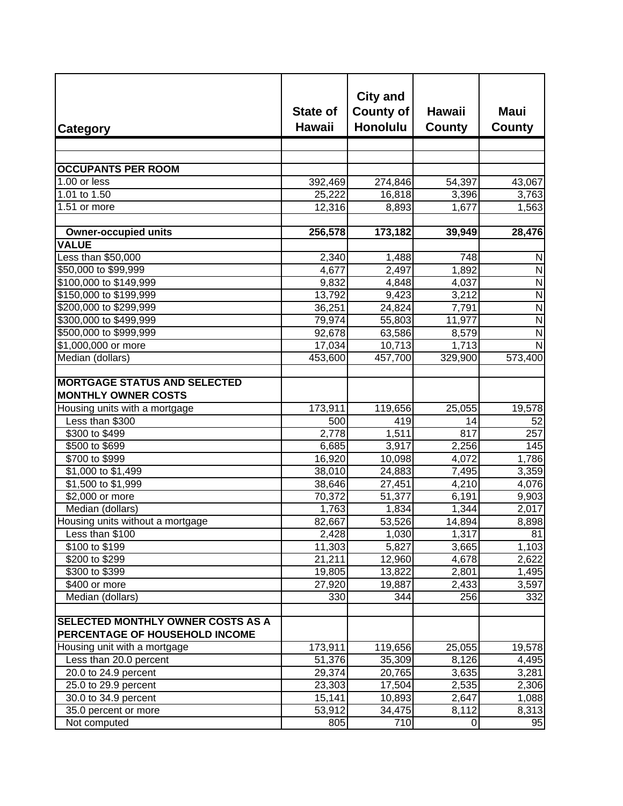| <b>Category</b>                                                            | <b>State of</b><br><b>Hawaii</b> | <b>City and</b><br><b>County of</b><br><b>Honolulu</b> | <b>Hawaii</b><br><b>County</b> | Maui<br><b>County</b>   |
|----------------------------------------------------------------------------|----------------------------------|--------------------------------------------------------|--------------------------------|-------------------------|
|                                                                            |                                  |                                                        |                                |                         |
|                                                                            |                                  |                                                        |                                |                         |
| <b>OCCUPANTS PER ROOM</b>                                                  |                                  |                                                        |                                |                         |
| 1.00 or less                                                               | 392,469                          | 274,846                                                | 54,397                         | 43,067                  |
| 1.01 to $1.\overline{50}$<br>1.51 or more                                  | 25,222                           | 16,818                                                 | 3,396                          | 3,763                   |
|                                                                            | 12,316                           | 8,893                                                  | 1,677                          | 1,563                   |
| <b>Owner-occupied units</b>                                                | 256,578                          | 173,182                                                | 39,949                         | 28,476                  |
| <b>VALUE</b>                                                               |                                  |                                                        |                                |                         |
| Less than \$50,000                                                         | 2,340                            | 1,488                                                  | 748                            | N                       |
| \$50,000 to \$99,999                                                       | 4,677                            | 2,497                                                  | 1,892                          | $\overline{\mathsf{N}}$ |
| \$100,000 to \$149,999                                                     | 9,832                            | 4,848                                                  | 4,037                          | $\mathsf{N}$            |
| \$150,000 to \$199,999                                                     | 13,792                           | 9,423                                                  | 3,212                          | N                       |
| \$200,000 to \$299,999                                                     | 36,251                           | 24,824                                                 | 7,791                          | $\overline{\mathsf{N}}$ |
| \$300,000 to \$499,999                                                     | 79,974                           | 55,803                                                 | 11,977                         | $\overline{N}$          |
| \$500,000 to \$999,999                                                     | 92,678                           | 63,586                                                 | 8,579                          | $\overline{\mathsf{N}}$ |
| \$1,000,000 or more                                                        | 17,034                           | 10,713                                                 | 1,713                          | $\overline{\mathsf{N}}$ |
| Median (dollars)                                                           | 453,600                          | 457,700                                                | 329,900                        | 573,400                 |
|                                                                            |                                  |                                                        |                                |                         |
| <b>MORTGAGE STATUS AND SELECTED</b><br><b>MONTHLY OWNER COSTS</b>          |                                  |                                                        |                                |                         |
| Housing units with a mortgage                                              | 173,911                          | 119,656                                                | 25,055                         | 19,578                  |
| Less than \$300                                                            | 500                              | 419                                                    | 14                             | 52                      |
| \$300 to \$499                                                             | 2,778                            | 1,511                                                  | 817                            | 257                     |
| \$500 to \$699                                                             | 6,685                            | 3,917                                                  | 2,256                          | 145                     |
| \$700 to \$999                                                             | 16,920                           | 10,098                                                 | 4,072                          | 1,786                   |
| \$1,000 to \$1,499                                                         | 38,010                           | 24,883                                                 | 7,495                          | 3,359                   |
| \$1,500 to \$1,999                                                         | 38,646                           | 27,451                                                 | 4,210                          | 4,076                   |
| \$2,000 or more                                                            | 70,372                           | 51,377                                                 | 6,191                          | 9,903                   |
| Median (dollars)                                                           | 1,763                            | 1,834                                                  | 1,344                          | 2,017                   |
| Housing units without a mortgage                                           | 82,667                           | 53,526                                                 | 14,894                         | 8,898                   |
| Less than \$100                                                            | 2,428                            | 1,030                                                  | 1,317                          | 81                      |
| \$100 to \$199                                                             | 11,303                           | 5,827                                                  | 3,665                          | 1,103                   |
| \$200 to \$299                                                             | 21,211                           | 12,960                                                 | 4,678                          | 2,622                   |
| \$300 to \$399                                                             | 19,805                           | 13,822                                                 | 2,801                          | 1,495                   |
| \$400 or more                                                              | 27,920                           | 19,887                                                 | 2,433                          | 3,597                   |
| Median (dollars)                                                           | 330                              | 344                                                    | 256                            | 332                     |
| <b>SELECTED MONTHLY OWNER COSTS AS A</b><br>PERCENTAGE OF HOUSEHOLD INCOME |                                  |                                                        |                                |                         |
| Housing unit with a mortgage                                               | 173,911                          | 119,656                                                | 25,055                         | 19,578                  |
| Less than 20.0 percent                                                     | 51,376                           | 35,309                                                 | 8,126                          | 4,495                   |
| 20.0 to 24.9 percent                                                       | 29,374                           | 20,765                                                 | 3,635                          | 3,281                   |
| 25.0 to 29.9 percent                                                       | 23,303                           | 17,504                                                 | 2,535                          | 2,306                   |
| 30.0 to 34.9 percent                                                       | 15,141                           | 10,893                                                 | 2,647                          | 1,088                   |
| 35.0 percent or more                                                       | 53,912                           | 34,475                                                 | 8,112                          | 8,313                   |
| Not computed                                                               | 805                              | 710                                                    | $\pmb{0}$                      | 95                      |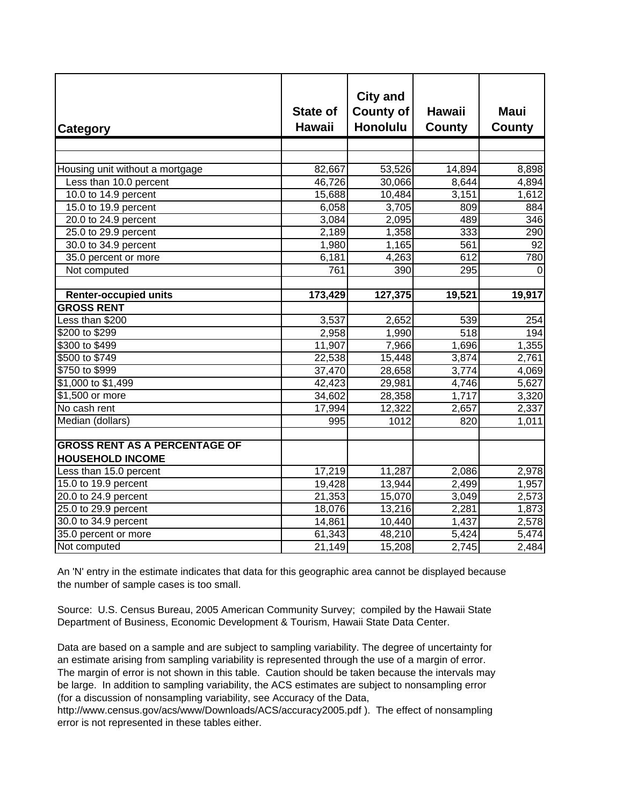| Category                                                        | <b>State of</b><br><b>Hawaii</b> | <b>City and</b><br><b>County of</b><br><b>Honolulu</b> | <b>Hawaii</b><br><b>County</b> | <b>Maui</b><br><b>County</b> |
|-----------------------------------------------------------------|----------------------------------|--------------------------------------------------------|--------------------------------|------------------------------|
|                                                                 |                                  |                                                        |                                |                              |
| Housing unit without a mortgage                                 | 82,667                           | 53,526                                                 | 14,894                         | 8,898                        |
| Less than 10.0 percent                                          | 46,726                           | 30,066                                                 | 8,644                          | 4,894                        |
| 10.0 to 14.9 percent                                            | 15,688                           | 10,484                                                 | 3,151                          | 1,612                        |
| 15.0 to 19.9 percent                                            | 6,058                            | 3,705                                                  | 809                            | 884                          |
| 20.0 to 24.9 percent                                            | 3,084                            | 2,095                                                  | 489                            | 346                          |
| 25.0 to 29.9 percent                                            | 2,189                            | 1,358                                                  | 333                            | 290                          |
| 30.0 to 34.9 percent                                            | 1,980                            | 1,165                                                  | 561                            | 92                           |
| 35.0 percent or more                                            | 6,181                            | 4,263                                                  | 612                            | 780                          |
| Not computed                                                    | 761                              | 390                                                    | 295                            | 0                            |
|                                                                 |                                  |                                                        |                                |                              |
| <b>Renter-occupied units</b>                                    | 173,429                          | 127,375                                                | 19,521                         | 19,917                       |
| <b>GROSS RENT</b>                                               |                                  |                                                        |                                |                              |
| Less than \$200                                                 | 3,537                            | 2,652                                                  | 539                            | 254                          |
| \$200 to \$299                                                  | 2,958                            | 1,990                                                  | 518                            | 194                          |
| \$300 to \$499                                                  | 11,907                           | 7,966                                                  | 1,696                          | 1,355                        |
| \$500 to \$749                                                  | 22,538                           | 15,448                                                 | 3,874                          | 2,761                        |
| \$750 to \$999                                                  | 37,470                           | 28,658                                                 | 3,774                          | 4,069                        |
| \$1,000 to \$1,499                                              | 42,423                           | 29,981                                                 | 4,746                          | 5,627                        |
| \$1,500 or more                                                 | 34,602                           | 28,358                                                 | 1,717                          | 3,320                        |
| No cash rent                                                    | 17,994                           | 12,322                                                 | 2,657                          | 2,337                        |
| Median (dollars)                                                | 995                              | 1012                                                   | 820                            | 1,011                        |
| <b>GROSS RENT AS A PERCENTAGE OF</b><br><b>HOUSEHOLD INCOME</b> |                                  |                                                        |                                |                              |
| Less than 15.0 percent                                          | 17,219                           | 11,287                                                 | 2,086                          | 2,978                        |
| 15.0 to 19.9 percent                                            | 19,428                           | 13,944                                                 | 2,499                          | 1,957                        |
| 20.0 to 24.9 percent                                            | 21,353                           | 15,070                                                 | 3,049                          | 2,573                        |
| 25.0 to 29.9 percent                                            | 18,076                           | 13,216                                                 | 2,281                          | 1,873                        |
| 30.0 to 34.9 percent                                            | 14,861                           | 10,440                                                 | 1,437                          | 2,578                        |
| 35.0 percent or more                                            | 61,343                           | 48,210                                                 | 5,424                          | 5,474                        |
| Not computed                                                    | 21,149                           | 15,208                                                 | 2,745                          | 2,484                        |

An 'N' entry in the estimate indicates that data for this geographic area cannot be displayed because the number of sample cases is too small.

Source: U.S. Census Bureau, 2005 American Community Survey; compiled by the Hawaii State Department of Business, Economic Development & Tourism, Hawaii State Data Center.

Data are based on a sample and are subject to sampling variability. The degree of uncertainty for an estimate arising from sampling variability is represented through the use of a margin of error. The margin of error is not shown in this table. Caution should be taken because the intervals may be large. In addition to sampling variability, the ACS estimates are subject to nonsampling error (for a discussion of nonsampling variability, see Accuracy of the Data,

http://www.census.gov/acs/www/Downloads/ACS/accuracy2005.pdf ). The effect of nonsampling error is not represented in these tables either.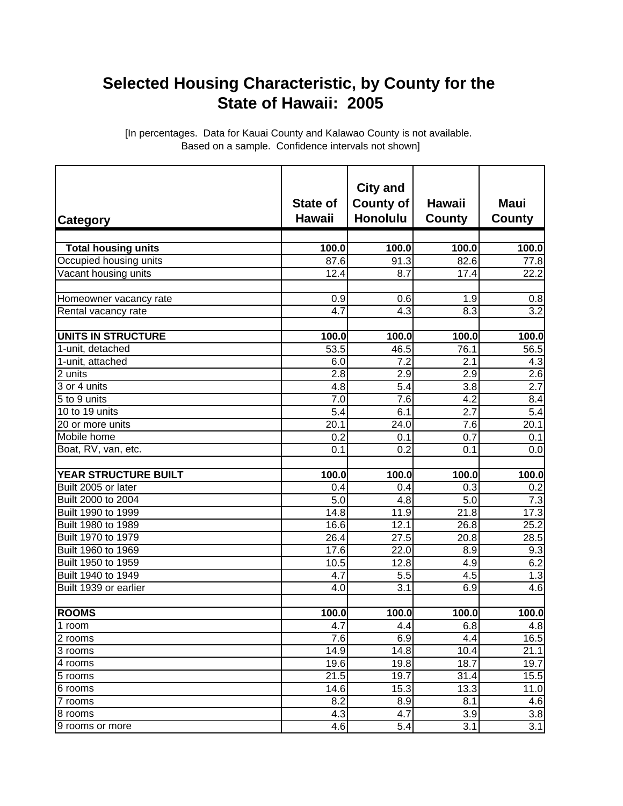## **Selected Housing Characteristic, by County for the State of Hawaii: 2005**

[In percentages. Data for Kauai County and Kalawao County is not available. Based on a sample. Confidence intervals not shown]

| <b>Category</b>             | <b>State of</b><br><b>Hawaii</b> | <b>City and</b><br><b>County of</b><br><b>Honolulu</b> | <b>Hawaii</b><br><b>County</b> | <b>Maui</b><br><b>County</b> |
|-----------------------------|----------------------------------|--------------------------------------------------------|--------------------------------|------------------------------|
|                             |                                  |                                                        |                                |                              |
| <b>Total housing units</b>  | 100.0                            | 100.0                                                  | 100.0                          | $\overline{1}00.0$           |
| Occupied housing units      | 87.6                             | 91.3                                                   | 82.6                           | 77.8                         |
| Vacant housing units        | 12.4                             | 8.7                                                    | 17.4                           | 22.2                         |
| Homeowner vacancy rate      | 0.9                              | 0.6                                                    | 1.9                            | 0.8                          |
| Rental vacancy rate         | 4.7                              | 4.3                                                    | 8.3                            | $\overline{3.2}$             |
| <b>UNITS IN STRUCTURE</b>   | 100.0                            | 100.0                                                  | 100.0                          | 100.0                        |
| 1-unit, detached            | 53.5                             | 46.5                                                   | 76.1                           | 56.5                         |
| 1-unit, attached            | 6.0                              | 7.2                                                    | 2.1                            | 4.3                          |
| 2 units                     | 2.8                              | 2.9                                                    | 2.9                            | 2.6                          |
| 3 or 4 units                | 4.8                              | 5.4                                                    | 3.8                            | $\overline{2.7}$             |
| 5 to 9 units                | 7.0                              | 7.6                                                    | 4.2                            | 8.4                          |
| 10 to 19 units              | 5.4                              | 6.1                                                    | 2.7                            | 5.4                          |
| 20 or more units            | 20.1                             | 24.0                                                   | 7.6                            | 20.1                         |
| Mobile home                 | 0.2                              | 0.1                                                    | 0.7                            | 0.1                          |
| Boat, RV, van, etc.         | 0.1                              | 0.2                                                    | 0.1                            | 0.0                          |
| <b>YEAR STRUCTURE BUILT</b> | 100.0                            | 100.0                                                  | 100.0                          | 100.0                        |
| Built 2005 or later         | 0.4                              | 0.4                                                    | 0.3                            | 0.2                          |
| Built 2000 to 2004          | $\overline{5.0}$                 | 4.8                                                    | $\overline{5.0}$               | $\overline{7.3}$             |
| Built 1990 to 1999          | 14.8                             | 11.9                                                   | 21.8                           | 17.3                         |
| Built 1980 to 1989          | 16.6                             | 12.1                                                   | 26.8                           | 25.2                         |
| Built 1970 to 1979          | 26.4                             | 27.5                                                   | 20.8                           | 28.5                         |
| Built 1960 to 1969          | 17.6                             | 22.0                                                   | 8.9                            | 9.3                          |
| Built 1950 to 1959          | 10.5                             | 12.8                                                   | 4.9                            | 6.2                          |
| Built 1940 to 1949          | 4.7                              | 5.5                                                    | 4.5                            | 1.3                          |
| Built 1939 or earlier       | 4.0                              | 3.1                                                    | 6.9                            | 4.6                          |
|                             |                                  |                                                        |                                |                              |
| <b>ROOMS</b>                | 100.0                            | 100.0                                                  | 100.0                          | 100.0                        |
| 1 room                      | 4.7                              | 4.4                                                    | 6.8                            | 4.8                          |
| 2 rooms                     | 7.6                              | 6.9                                                    | 4.4                            | 16.5                         |
| 3 rooms                     | 14.9                             | 14.8                                                   | 10.4                           | 21.1                         |
| 4 rooms                     | 19.6                             | 19.8                                                   | 18.7                           | 19.7                         |
| 5 rooms                     | 21.5                             | 19.7                                                   | 31.4                           | 15.5                         |
| 6 rooms                     | 14.6                             | 15.3                                                   | 13.3                           | 11.0                         |
| 7 rooms                     | 8.2                              | 8.9                                                    | 8.1                            | 4.6                          |
| 8 rooms                     | 4.3                              | 4.7                                                    | 3.9                            | 3.8                          |
| 9 rooms or more             | 4.6                              | 5.4                                                    | 3.1                            | $\overline{3}.1$             |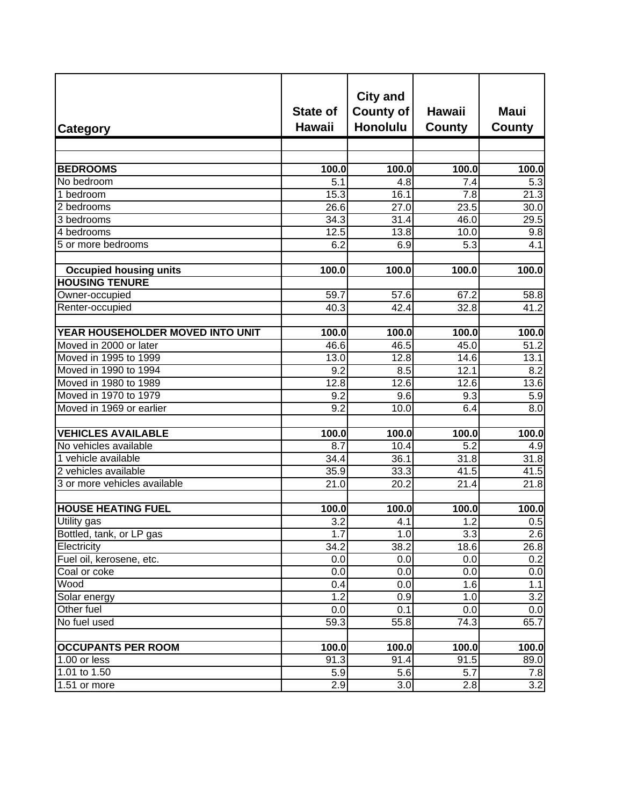| Category                         | <b>State of</b><br><b>Hawaii</b> | <b>City and</b><br><b>County of</b><br><b>Honolulu</b> | <b>Hawaii</b><br>County | <b>Maui</b><br>County |
|----------------------------------|----------------------------------|--------------------------------------------------------|-------------------------|-----------------------|
|                                  |                                  |                                                        |                         |                       |
| <b>BEDROOMS</b>                  | 100.0                            | 100.0                                                  | 100.0                   | 100.0                 |
| No bedroom                       | 5.1                              | 4.8                                                    | 7.4                     | 5.3                   |
| 1 bedroom                        | 15.3                             | 16.1                                                   | 7.8                     | 21.3                  |
| 2 bedrooms                       | 26.6                             | 27.0                                                   | 23.5                    | 30.0                  |
| 3 bedrooms                       | 34.3                             | 31.4                                                   | 46.0                    | 29.5                  |
| 4 bedrooms                       | 12.5                             | 13.8                                                   | 10.0                    | 9.8                   |
| 5 or more bedrooms               | $6.\overline{2}$                 | 6.9                                                    | 5.3                     | 4.1                   |
|                                  |                                  |                                                        |                         |                       |
| <b>Occupied housing units</b>    | 100.0                            | 100.0                                                  | 100.0                   | 100.0                 |
| <b>HOUSING TENURE</b>            |                                  |                                                        |                         |                       |
| Owner-occupied                   | 59.7                             | 57.6                                                   | 67.2                    | 58.8                  |
| Renter-occupied                  | 40.3                             | 42.4                                                   | 32.8                    | 41.2                  |
|                                  |                                  |                                                        |                         |                       |
| YEAR HOUSEHOLDER MOVED INTO UNIT | 100.0                            | 100.0                                                  | 100.0                   | 100.0                 |
| Moved in 2000 or later           | 46.6                             | 46.5                                                   | 45.0                    | 51.2                  |
| Moved in 1995 to 1999            | 13.0                             | 12.8                                                   | 14.6                    | 13.1                  |
| Moved in 1990 to 1994            | 9.2                              | 8.5                                                    | 12.1                    | 8.2                   |
| Moved in 1980 to 1989            | 12.8                             | 12.6                                                   | 12.6                    | 13.6                  |
| Moved in 1970 to 1979            | 9.2                              | 9.6                                                    | 9.3                     | 5.9                   |
| Moved in 1969 or earlier         | $\overline{9.2}$                 | 10.0                                                   | 6.4                     | $\overline{8.0}$      |
|                                  |                                  |                                                        |                         |                       |
| <b>VEHICLES AVAILABLE</b>        | 100.0                            | 100.0                                                  | 100.0                   | 100.0                 |
| No vehicles available            | 8.7                              | 10.4                                                   | $\overline{5.2}$        | 4.9                   |
| 1 vehicle available              | 34.4                             | 36.1                                                   | 31.8                    | 31.8                  |
| 2 vehicles available             | 35.9                             | 33.3                                                   | 41.5                    | 41.5                  |
| 3 or more vehicles available     | 21.0                             | 20.2                                                   | 21.4                    | 21.8                  |
|                                  |                                  |                                                        |                         |                       |
| <b>HOUSE HEATING FUEL</b>        | 100.0                            | 100.0                                                  | 100.0                   | 100.0                 |
| Utility gas                      | 3.2                              | 4.1                                                    | 1.2                     | 0.5                   |
| Bottled, tank, or LP gas         | 1.7                              | 1.0                                                    | 3.3                     | 2.6                   |
| Electricity                      | 34.2                             | 38.2                                                   | 18.6                    | 26.8                  |
| Fuel oil, kerosene, etc.         | 0.0                              | 0.0                                                    | 0.0                     | 0.2                   |
| Coal or coke                     | 0.0                              | 0.0                                                    | 0.0                     | 0.0                   |
| Wood                             | 0.4                              | 0.0                                                    | 1.6                     | 1.1                   |
| Solar energy                     | 1.2                              | 0.9                                                    | 1.0                     | $\overline{3.2}$      |
| Other fuel                       | 0.0                              | 0.1                                                    | 0.0                     | 0.0                   |
| No fuel used                     | 59.3                             | 55.8                                                   | 74.3                    | 65.7                  |
|                                  |                                  |                                                        |                         |                       |
| <b>OCCUPANTS PER ROOM</b>        | 100.0                            | 100.0                                                  | 100.0                   | $\overline{100.0}$    |
| 1.00 or less                     | 91.3                             | 91.4                                                   | 91.5                    | 89.0                  |
| 1.01 to 1.50                     | 5.9                              | 5.6                                                    | 5.7                     | 7.8                   |
| 1.51 or more                     | 2.9                              | 3.0                                                    | 2.8                     | 3.2                   |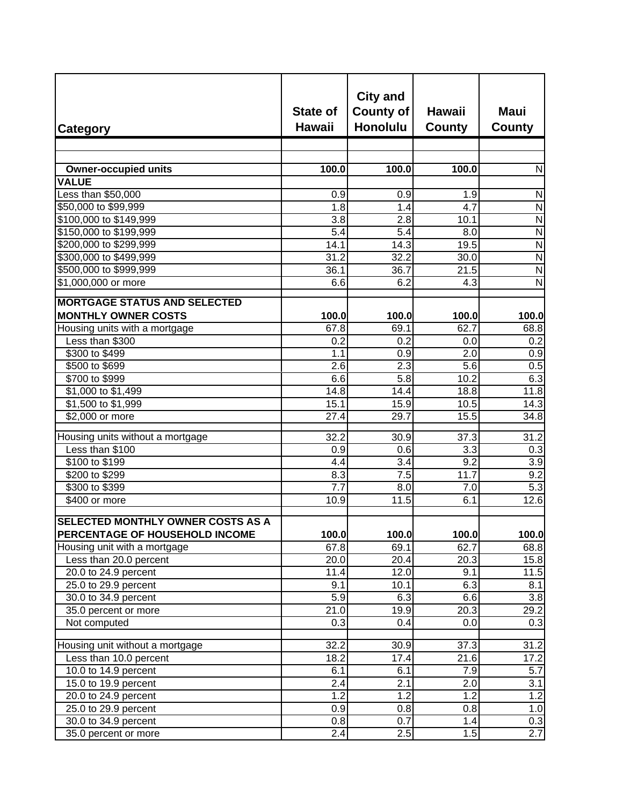| <b>Category</b>                                                            | <b>State of</b><br><b>Hawaii</b> | <b>City and</b><br><b>County of</b><br><b>Honolulu</b> | <b>Hawaii</b><br>County | <b>Maui</b><br>County   |
|----------------------------------------------------------------------------|----------------------------------|--------------------------------------------------------|-------------------------|-------------------------|
|                                                                            |                                  |                                                        |                         |                         |
| <b>Owner-occupied units</b>                                                | 100.0                            | 100.0                                                  | 100.0                   | ${\sf N}$               |
| <b>VALUE</b>                                                               |                                  |                                                        |                         |                         |
| Less than \$50,000                                                         | 0.9                              | 0.9                                                    | 1.9                     | ${\sf N}$               |
| \$50,000 to \$99,999                                                       | 1.8                              | 1.4                                                    | 4.7                     | $\overline{N}$          |
| \$100,000 to \$149,999                                                     | 3.8                              | 2.8                                                    | 10.1                    | $\overline{N}$          |
| \$150,000 to \$199,999                                                     | $\overline{5.4}$                 | 5.4                                                    | 8.0                     | $\overline{N}$          |
| \$200,000 to \$299,999                                                     | 14.1                             | $\overline{14.3}$                                      | 19.5                    | $\overline{N}$          |
| \$300,000 to \$499,999                                                     | 31.2                             | 32.2                                                   | 30.0                    | $\overline{N}$          |
| \$500,000 to \$999,999                                                     | 36.1                             | 36.7                                                   | 21.5                    | $\overline{\mathsf{N}}$ |
| \$1,000,000 or more                                                        | 6.6                              | 6.2                                                    | 4.3                     | $\overline{\mathsf{N}}$ |
|                                                                            |                                  |                                                        |                         |                         |
| <b>MORTGAGE STATUS AND SELECTED</b>                                        |                                  |                                                        |                         |                         |
| <b>MONTHLY OWNER COSTS</b>                                                 | 100.0                            | 100.0                                                  | 100.0                   | 100.0                   |
| Housing units with a mortgage                                              | 67.8                             | 69.1                                                   | 62.7                    | 68.8                    |
| Less than \$300                                                            | 0.2                              | 0.2                                                    | 0.0                     | 0.2                     |
| \$300 to \$499                                                             | 1.1                              | 0.9                                                    | 2.0                     | 0.9                     |
| \$500 to \$699                                                             | 2.6                              | $\overline{2.3}$                                       | 5.6                     | 0.5                     |
| \$700 to \$999                                                             | 6.6                              | 5.8                                                    | 10.2                    | 6.3                     |
| \$1,000 to \$1,499                                                         | $\overline{14.8}$                | $\overline{1}4.4$                                      | 18.8                    | 11.8                    |
| $$1,500$ to \$1,999                                                        | 15.1                             | 15.9                                                   | 10.5                    | 14.3                    |
| \$2,000 or more                                                            | 27.4                             | 29.7                                                   | 15.5                    | 34.8                    |
| Housing units without a mortgage                                           | 32.2                             | 30.9                                                   | 37.3                    | 31.2                    |
| Less than \$100                                                            | 0.9                              | 0.6                                                    | 3.3                     | 0.3                     |
| \$100 to \$199                                                             | 4.4                              | 3.4                                                    | $\overline{9.2}$        | 3.9                     |
| \$200 to \$299                                                             | 8.3                              | 7.5                                                    | 11.7                    | $\overline{9.2}$        |
| \$300 to \$399                                                             | 7.7                              | 8.0                                                    | 7.0                     | $\overline{5.3}$        |
| \$400 or more                                                              | 10.9                             | 11.5                                                   | 6.1                     | 12.6                    |
| <b>SELECTED MONTHLY OWNER COSTS AS A</b><br>PERCENTAGE OF HOUSEHOLD INCOME | 100.0                            | 100.0                                                  | 100.0                   | 100.0                   |
| Housing unit with a mortgage                                               | 67.8                             | 69.1                                                   | 62.7                    | 68.8                    |
| Less than 20.0 percent                                                     | 20.0                             | 20.4                                                   | 20.3                    | 15.8                    |
| 20.0 to 24.9 percent                                                       | 11.4                             | 12.0                                                   | 9.1                     | 11.5                    |
| 25.0 to 29.9 percent                                                       | 9.1                              | 10.1                                                   | 6.3                     | 8.1                     |
| 30.0 to 34.9 percent                                                       | 5.9                              | 6.3                                                    | 6.6                     | 3.8                     |
| 35.0 percent or more                                                       | 21.0                             | 19.9                                                   | 20.3                    | 29.2                    |
| Not computed                                                               | 0.3                              | 0.4                                                    | 0.0                     | 0.3                     |
|                                                                            |                                  |                                                        |                         |                         |
| Housing unit without a mortgage                                            | 32.2                             | 30.9                                                   | 37.3                    | 31.2                    |
| Less than 10.0 percent                                                     | 18.2                             | 17.4                                                   | 21.6                    | 17.2                    |
| 10.0 to 14.9 percent                                                       | 6.1                              | 6.1                                                    | 7.9                     | $\overline{5.7}$        |
| 15.0 to 19.9 percent                                                       | 2.4                              | 2.1                                                    | 2.0                     | 3.1                     |
| 20.0 to 24.9 percent                                                       | 1.2                              | 1.2                                                    | 1.2                     | $\overline{1.2}$        |
| 25.0 to 29.9 percent                                                       | 0.9                              | 0.8                                                    | 0.8                     | 1.0                     |
| 30.0 to 34.9 percent                                                       | 0.8                              | 0.7                                                    | 1.4                     | 0.3                     |
| 35.0 percent or more                                                       | 2.4                              | 2.5                                                    | 1.5                     | 2.7                     |